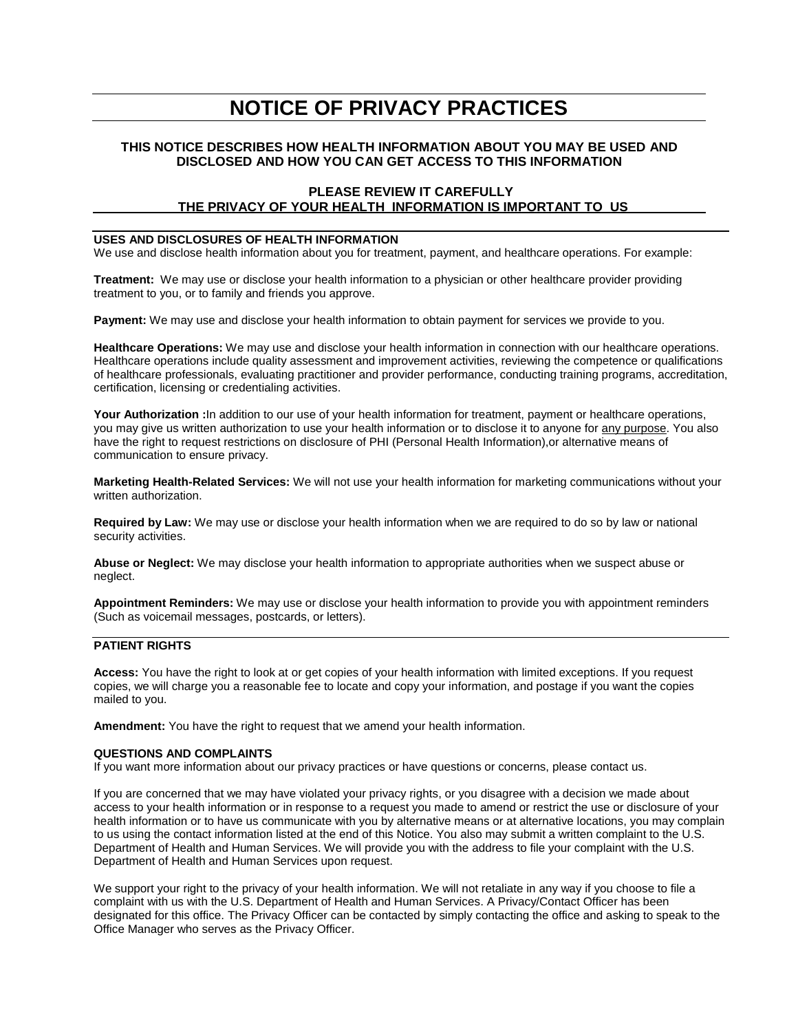# **NOTICE OF PRIVACY PRACTICES**

# **THIS NOTICE DESCRIBES HOW HEALTH INFORMATION ABOUT YOU MAY BE USED AND DISCLOSED AND HOW YOU CAN GET ACCESS TO THIS INFORMATION**

### **PLEASE REVIEW IT CAREFULLY THE PRIVACY OF YOUR HEALTH INFORMATION IS IMPORTANT TO US**

#### **USES AND DISCLOSURES OF HEALTH INFORMATION**

We use and disclose health information about you for treatment, payment, and healthcare operations. For example:

**Treatment:** We may use or disclose your health information to a physician or other healthcare provider providing treatment to you, or to family and friends you approve.

**Payment:** We may use and disclose your health information to obtain payment for services we provide to you.

**Healthcare Operations:** We may use and disclose your health information in connection with our healthcare operations. Healthcare operations include quality assessment and improvement activities, reviewing the competence or qualifications of healthcare professionals, evaluating practitioner and provider performance, conducting training programs, accreditation, certification, licensing or credentialing activities.

**Your Authorization :**In addition to our use of your health information for treatment, payment or healthcare operations, you may give us written authorization to use your health information or to disclose it to anyone for any purpose. You also have the right to request restrictions on disclosure of PHI (Personal Health Information),or alternative means of communication to ensure privacy.

**Marketing Health-Related Services:** We will not use your health information for marketing communications without your written authorization.

**Required by Law:** We may use or disclose your health information when we are required to do so by law or national security activities.

**Abuse or Neglect:** We may disclose your health information to appropriate authorities when we suspect abuse or neglect.

**Appointment Reminders:** We may use or disclose your health information to provide you with appointment reminders (Such as voicemail messages, postcards, or letters).

# **PATIENT RIGHTS**

**Access:** You have the right to look at or get copies of your health information with limited exceptions. If you request copies, we will charge you a reasonable fee to locate and copy your information, and postage if you want the copies mailed to you.

**Amendment:** You have the right to request that we amend your health information.

#### **QUESTIONS AND COMPLAINTS**

If you want more information about our privacy practices or have questions or concerns, please contact us.

If you are concerned that we may have violated your privacy rights, or you disagree with a decision we made about access to your health information or in response to a request you made to amend or restrict the use or disclosure of your health information or to have us communicate with you by alternative means or at alternative locations, you may complain to us using the contact information listed at the end of this Notice. You also may submit a written complaint to the U.S. Department of Health and Human Services. We will provide you with the address to file your complaint with the U.S. Department of Health and Human Services upon request.

We support your right to the privacy of your health information. We will not retaliate in any way if you choose to file a complaint with us with the U.S. Department of Health and Human Services. A Privacy/Contact Officer has been designated for this office. The Privacy Officer can be contacted by simply contacting the office and asking to speak to the Office Manager who serves as the Privacy Officer.